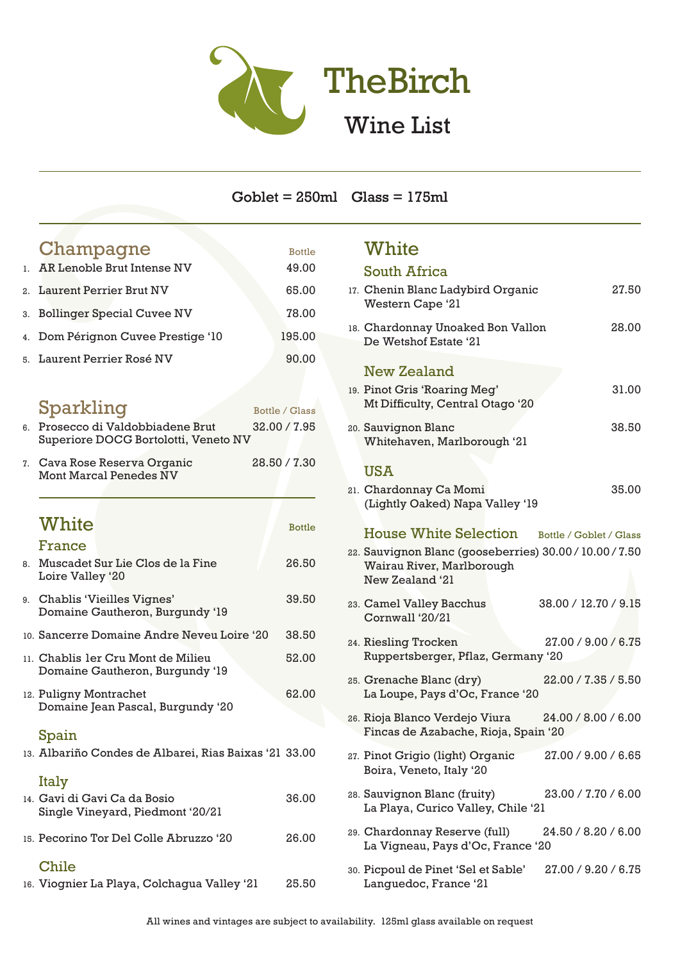

## Goblet = 250ml Glass = 175ml

white the control of the control of the control of the control of the control of the control of the control of

## Champagne Bottle 1. AR Lenoble Brut Intense NV 49.00 2. Laurent Perrier Brut NV 65.00 3. Bollinger Special Cuvee NV 78.00 4. Dom Pérignon Cuvee Prestige '10 195.00 5. Laurent Perrier Rosé NV 90.00 Sparkling Bottle / Glass 6. Prosecco di Valdobbiadene Brut 32.00 / 7.95 Superiore DOCG Bortolotti, Veneto NV 7. Cava Rose Reserva Organic 28.50 / 7.30 Mont Marcal Penedes NV White Bottle France 8. Muscadet Sur Lie Clos de la Fine 26.50 Loire Valley '20 9. Chablis 'Vieilles Vignes' 39.50 Domaine Gautheron, Burgundy '19 10. Sancerre Domaine Andre Neveu Loire '20 38.50 11. Chablis 1er Cru Mont de Milieu 52.00 Domaine Gautheron, Burgundy '19 12. Puligny Montrachet 62.00 Domaine Jean Pascal, Burgundy '20 Spain 13. Albariño Condes de Albarei, Rias Baixas '21 33.00 Italy 14. Gavi di Gavi Ca da Bosio 36.00 Single Vineyard, Piedmont '20/21 15. Pecorino Tor Del Colle Abruzzo '20 26.00 Chile

|  | 16. Viognier La Playa, Colchagua Valley '21 | 25.50 |
|--|---------------------------------------------|-------|
|  |                                             |       |

| W hite                                                                                                  |                         |       |
|---------------------------------------------------------------------------------------------------------|-------------------------|-------|
| <b>South Africa</b>                                                                                     |                         |       |
| 17. Chenin Blanc Ladybird Organic<br>Western Cape '21                                                   |                         | 27.50 |
| 18. Chardonnay Unoaked Bon Vallon<br>De Wetshof Estate '21                                              |                         | 28.00 |
| <b>New Zealand</b>                                                                                      |                         |       |
| 19. Pinot Gris 'Roaring Meg'<br>Mt Difficulty, Central Otago '20                                        |                         | 31.00 |
| 20. Sauvignon Blanc<br>Whitehaven, Marlborough '21                                                      |                         | 38.50 |
| <b>USA</b>                                                                                              |                         |       |
| 21. Chardonnay Ca Momi<br>(Lightly Oaked) Napa Valley '19                                               |                         | 35.00 |
| <b>House White Selection</b>                                                                            | Bottle / Goblet / Glass |       |
| 22. Sauvignon Blanc (gooseberries) 30.00 / 10.00 / 7.50<br>Wairau River, Marlborough<br>New Zealand '21 |                         |       |
| 23. Camel Valley Bacchus<br>Cornwall '20/21                                                             | 38.00 / 12.70 / 9.15    |       |
| 24. Riesling Trocken<br>Ruppertsberger, Pflaz, Germany '20                                              | 27.00 / 9.00 / 6.75     |       |
| 25. Grenache Blanc (dry)<br>La Loupe, Pays d'Oc, France '20                                             | 22.00 / 7.35 / 5.50     |       |
| 26. Rioja Blanco Verdejo Viura<br>Fincas de Azabache, Rioja, Spain '20                                  | 24.00 / 8.00 / 6.00     |       |
| 27. Pinot Grigio (light) Organic<br>Boira, Veneto, Italy '20                                            | 27.00 / 9.00 / 6.65     |       |
| 28. Sauvignon Blanc (fruity)<br>La Playa, Curico Valley, Chile '21                                      | 23.00 / 7.70 / 6.00     |       |
| 29. Chardonnay Reserve (full)<br>La Vigneau, Pays d'Oc, France '20                                      | 24.50 / 8.20 / 6.00     |       |
| 30. Picpoul de Pinet 'Sel et Sable'<br>Languedoc, France '21                                            | 27.00 / 9.20 / 6.75     |       |